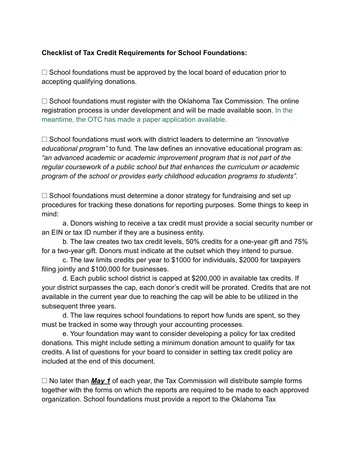## **Checklist of Tax Credit Requirements for School Foundations:**

 $\Box$  School foundations must be approved by the local board of education prior to accepting qualifying donations.

 $\Box$  School foundations must register with the Oklahoma Tax Commission. The online registration process is under development and will be made available soon. [In the](https://www.ossba.org/wp-content/uploads/2021/12/OTC-Form.pdf) [meantime, the OTC has made a paper application available](https://www.ossba.org/wp-content/uploads/2021/12/OTC-Form.pdf).

□ School foundations must work with district leaders to determine an *"innovative educational program"* to fund. The law defines an innovative educational program as: *"an advanced academic or academic improvement program that is not part of the regular coursework of a public school but that enhances the curriculum or academic program of the school or provides early childhood education programs to students".*

 $\Box$  School foundations must determine a donor strategy for fundraising and set up procedures for tracking these donations for reporting purposes. Some things to keep in mind:

a. Donors wishing to receive a tax credit must provide a social security number or an EIN or tax ID number if they are a business entity.

b. The law creates two tax credit levels, 50% credits for a one-year gift and 75% for a two-year gift. Donors must indicate at the outset which they intend to pursue.

c. The law limits credits per year to \$1000 for individuals, \$2000 for taxpayers filing jointly and \$100,000 for businesses.

d. Each public school district is capped at \$200,000 in available tax credits. If your district surpasses the cap, each donor's credit will be prorated. Credits that are not available in the current year due to reaching the cap will be able to be utilized in the subsequent three years.

d. The law requires school foundations to report how funds are spent, so they must be tracked in some way through your accounting processes.

e. Your foundation may want to consider developing a policy for tax credited donations. This might include setting a minimum donation amount to qualify for tax credits. A list of questions for your board to consider in setting tax credit policy are included at the end of this document.

 $\Box$  No later than *May 1* of each year, the Tax Commission will distribute sample forms together with the forms on which the reports are required to be made to each approved organization. School foundations must provide a report to the Oklahoma Tax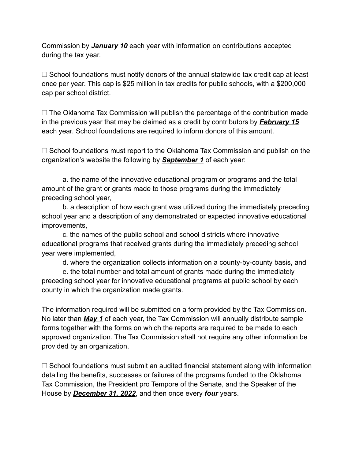Commission by *January 10* each year with information on contributions accepted during the tax year.

 $\Box$  School foundations must notify donors of the annual statewide tax credit cap at least once per year. This cap is \$25 million in tax credits for public schools, with a \$200,000 cap per school district.

 $\Box$  The Oklahoma Tax Commission will publish the percentage of the contribution made in the previous year that may be claimed as a credit by contributors by *February 15* each year. School foundations are required to inform donors of this amount.

 $\Box$  School foundations must report to the Oklahoma Tax Commission and publish on the organization's website the following by *September 1* of each year:

a. the name of the innovative educational program or programs and the total amount of the grant or grants made to those programs during the immediately preceding school year,

b. a description of how each grant was utilized during the immediately preceding school year and a description of any demonstrated or expected innovative educational improvements,

c. the names of the public school and school districts where innovative educational programs that received grants during the immediately preceding school year were implemented,

d. where the organization collects information on a county-by-county basis, and

e. the total number and total amount of grants made during the immediately preceding school year for innovative educational programs at public school by each county in which the organization made grants.

The information required will be submitted on a form provided by the Tax Commission. No later than *May 1* of each year, the Tax Commission will annually distribute sample forms together with the forms on which the reports are required to be made to each approved organization. The Tax Commission shall not require any other information be provided by an organization.

 $\Box$  School foundations must submit an audited financial statement along with information detailing the benefits, successes or failures of the programs funded to the Oklahoma Tax Commission, the President pro Tempore of the Senate, and the Speaker of the House by *December 31, 2022*, and then once every *four* years.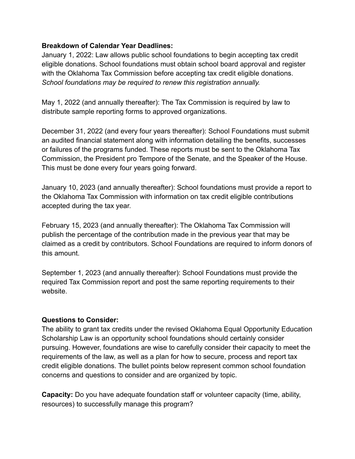## **Breakdown of Calendar Year Deadlines:**

January 1, 2022: Law allows public school foundations to begin accepting tax credit eligible donations. School foundations must obtain school board approval and register with the Oklahoma Tax Commission before accepting tax credit eligible donations. *School foundations may be required to renew this registration annually.*

May 1, 2022 (and annually thereafter): The Tax Commission is required by law to distribute sample reporting forms to approved organizations.

December 31, 2022 (and every four years thereafter): School Foundations must submit an audited financial statement along with information detailing the benefits, successes or failures of the programs funded. These reports must be sent to the Oklahoma Tax Commission, the President pro Tempore of the Senate, and the Speaker of the House. This must be done every four years going forward.

January 10, 2023 (and annually thereafter): School foundations must provide a report to the Oklahoma Tax Commission with information on tax credit eligible contributions accepted during the tax year.

February 15, 2023 (and annually thereafter): The Oklahoma Tax Commission will publish the percentage of the contribution made in the previous year that may be claimed as a credit by contributors. School Foundations are required to inform donors of this amount.

September 1, 2023 (and annually thereafter): School Foundations must provide the required Tax Commission report and post the same reporting requirements to their website.

## **Questions to Consider:**

The ability to grant tax credits under the revised Oklahoma Equal Opportunity Education Scholarship Law is an opportunity school foundations should certainly consider pursuing. However, foundations are wise to carefully consider their capacity to meet the requirements of the law, as well as a plan for how to secure, process and report tax credit eligible donations. The bullet points below represent common school foundation concerns and questions to consider and are organized by topic.

**Capacity:** Do you have adequate foundation staff or volunteer capacity (time, ability, resources) to successfully manage this program?